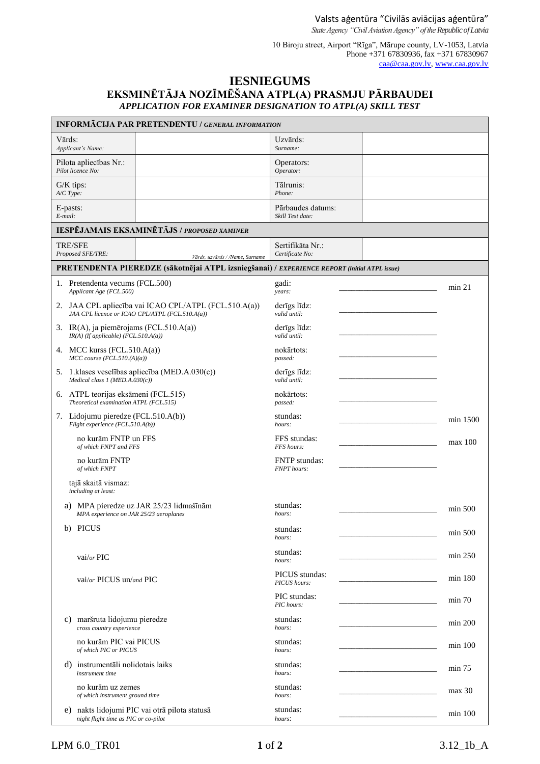10 Biroju street, Airport "Rīga", Mārupe county, LV-1053, Latvia Phone +371 67830936, fax +371 67830967 [caa@caa.gov.lv,](mailto:caa@caa.gov.lv) [www.caa.gov.lv](http://www.caa.gov.lv/)

## **IESNIEGUMS EKSMINĒTĀJA NOZĪMĒŠANA ATPL(A) PRASMJU PĀRBAUDEI** *APPLICATION FOR EXAMINER DESIGNATION TO ATPL(A) SKILL TEST*

| <b>INFORMĀCIJA PAR PRETENDENTU / GENERAL INFORMATION</b>                                                 |                                            |           |  |  |
|----------------------------------------------------------------------------------------------------------|--------------------------------------------|-----------|--|--|
| Vārds:<br>Applicant's Name:                                                                              | Uzvārds:<br>Surname:                       |           |  |  |
| Pilota apliecības Nr.:<br>Pilot licence No:                                                              | Operators:<br>Operator:                    |           |  |  |
| $G/K$ tips:<br>A/C Type:                                                                                 | Tālrunis:<br>Phone:                        |           |  |  |
| E-pasts:<br>E-mail:                                                                                      | Pārbaudes datums:<br>Skill Test date:      |           |  |  |
| IESPĒJAMAIS EKSAMINĒTĀJS / PROPOSED XAMINER                                                              |                                            |           |  |  |
| <b>TRE/SFE</b><br>Proposed SFE/TRE:<br>Vārds, uzvārds / /Name, Surname                                   | Sertifikāta Nr.:<br>Certificate No:        |           |  |  |
| PRETENDENTA PIEREDZE (sākotnējai ATPL izsniegšanai) / EXPERIENCE REPORT (initial ATPL issue)             |                                            |           |  |  |
| 1. Pretendenta vecums (FCL.500)<br>Applicant Age (FCL.500)                                               | gadi:<br>years:                            | min 21    |  |  |
| 2. JAA CPL apliecība vai ICAO CPL/ATPL (FCL.510.A(a))<br>JAA CPL licence or ICAO CPL/ATPL (FCL.510.A(a)) | derīgs līdz:<br>valid until:               |           |  |  |
| 3. IR(A), ja piemērojams (FCL.510.A(a))<br>$IR(A)$ (If applicable) (FCL.510.A(a))                        | derīgs līdz:<br>valid until:               |           |  |  |
| 4. MCC kurss (FCL.510.A(a))<br>$MCC$ course (FCL.510.(A)(a))                                             | nokārtots:<br>passed:                      |           |  |  |
| 5. 1. klases veselības apliecība (MED.A.030(c))<br>Medical class 1 (MED.A.030(c))                        | derīgs līdz:<br>valid until:               |           |  |  |
| 6. ATPL teorijas eksāmeni (FCL.515)<br>Theoretical examination ATPL (FCL.515)                            | nokārtots:<br>passed:                      |           |  |  |
| 7. Lidojumu pieredze (FCL.510.A(b))<br>Flight experience (FCL.510.A(b))                                  | stundas:<br>hours:                         | min 1500  |  |  |
| no kurām FNTP un FFS<br>of which FNPT and FFS                                                            | FFS stundas:<br>FFS hours:                 | max 100   |  |  |
| no kurām FNTP<br>of which FNPT                                                                           | <b>FNTP</b> stundas:<br><b>FNPT</b> hours: |           |  |  |
| tajā skaitā vismaz:<br>including at least:                                                               |                                            |           |  |  |
| a) MPA pieredze uz JAR 25/23 lidmašīnām<br>MPA experience on JAR 25/23 aeroplanes                        | stundas:<br>hours:                         | min 500   |  |  |
| b) PICUS                                                                                                 | stundas:<br>hours:                         | min 500   |  |  |
| vai/or $\text{PIC}$                                                                                      | stundas:<br>hours:                         | min 250   |  |  |
| vai/or PICUS un/and PIC                                                                                  | PICUS stundas:<br>PICUS hours:             | min 180   |  |  |
|                                                                                                          | PIC stundas:<br>PIC hours:                 | min 70    |  |  |
| maršruta lidojumu pieredze<br>C)<br>cross country experience                                             | stundas:<br>hours:                         | min 200   |  |  |
| no kurām PIC vai PICUS<br>of which PIC or PICUS                                                          | stundas:<br>hours:                         | $min$ 100 |  |  |
| d) instrumentāli nolidotais laiks<br>instrument time                                                     | stundas:<br>hours:                         | min 75    |  |  |
| no kurām uz zemes<br>of which instrument ground time                                                     | stundas:<br>hours:                         | max 30    |  |  |
| e) nakts lidojumi PIC vai otrā pilota statusā<br>night flight time as PIC or co-pilot                    | stundas:<br>hours:                         | $min$ 100 |  |  |